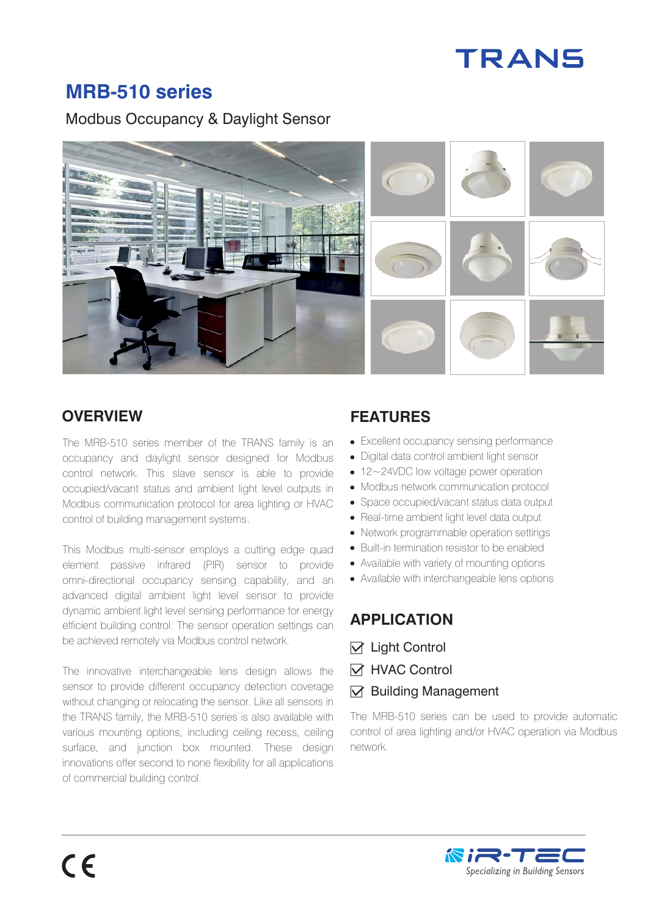# **TRANS**

# **MRB-510 series**

Modbus Occupancy & Daylight Sensor



## **OVERVIEW FEATURES**

The MRB-510 series member of the TRANS family is an occupancy and daylight sensor designed for Modbus control network. This slave sensor is able to provide occupied/vacant status and ambient light level outputs in Modbus communication protocol for area lighting or HVAC control of building management systems.

This Modbus multi-sensor employs a cutting edge quad element passive infrared (PIR) sensor to provide omni-directional occupancy sensing capability, and an advanced digital ambient light level sensor to provide dynamic ambient light level sensing performance for energy efficient building control. The sensor operation settings can be achieved remotely via Modbus control network.

The innovative interchangeable lens design allows the sensor to provide different occupancy detection coverage without changing or relocating the sensor. Like all sensors in the TRANS family, the MRB-510 series is also available with various mounting options, including ceiling recess, ceiling surface, and junction box mounted. These design innovations offer second to none flexibility for all applications of commercial building control.

- Excellent occupancy sensing performance
- Digital data control ambient light sensor
- 12~24VDC low voltage power operation
- Modbus network communication protocol
- Space occupied/vacant status data output
- Real-time ambient light level data output
- Network programmable operation settings
- Built-in termination resistor to be enabled
- Available with variety of mounting options
- Available with interchangeable lens options

#### **APPLICATION**

- $\nabla$  Light Control
- **M** HVAC Control
- $\nabla$  Building Management

The MRB-510 series can be used to provide automatic control of area lighting and/or HVAC operation via Modbus network.